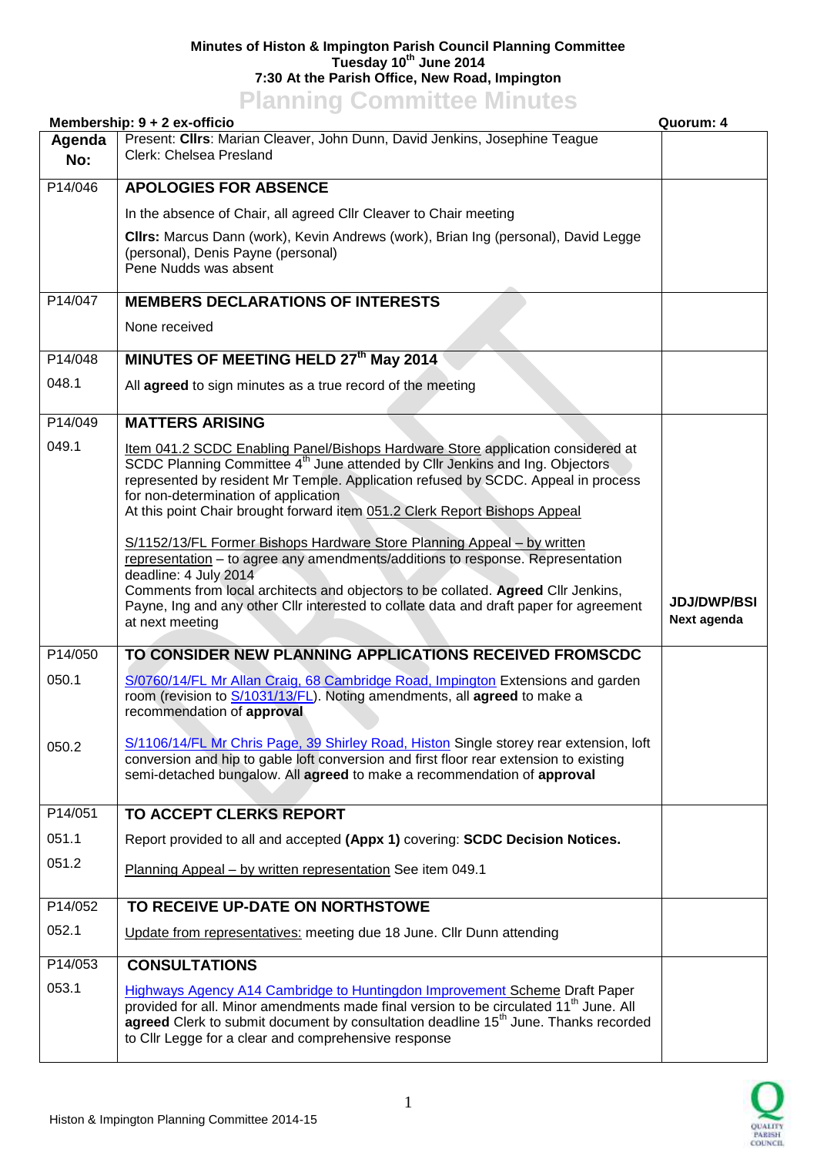## **Minutes of Histon & Impington Parish Council Planning Committee Tuesday 10th June 2014 7:30 At the Parish Office, New Road, Impington**

## **Planning Committee Minutes**

| Membership: 9 + 2 ex-officio<br>Quorum: 4 |                                                                                                                                                                                                                                                                                                                                                                                        |                                   |
|-------------------------------------------|----------------------------------------------------------------------------------------------------------------------------------------------------------------------------------------------------------------------------------------------------------------------------------------------------------------------------------------------------------------------------------------|-----------------------------------|
| Agenda<br>No:                             | Present: Clirs: Marian Cleaver, John Dunn, David Jenkins, Josephine Teague<br>Clerk: Chelsea Presland                                                                                                                                                                                                                                                                                  |                                   |
| P14/046                                   | <b>APOLOGIES FOR ABSENCE</b>                                                                                                                                                                                                                                                                                                                                                           |                                   |
|                                           | In the absence of Chair, all agreed Cllr Cleaver to Chair meeting                                                                                                                                                                                                                                                                                                                      |                                   |
|                                           | CIIrs: Marcus Dann (work), Kevin Andrews (work), Brian Ing (personal), David Legge<br>(personal), Denis Payne (personal)<br>Pene Nudds was absent                                                                                                                                                                                                                                      |                                   |
| P14/047                                   | <b>MEMBERS DECLARATIONS OF INTERESTS</b>                                                                                                                                                                                                                                                                                                                                               |                                   |
|                                           | None received                                                                                                                                                                                                                                                                                                                                                                          |                                   |
| P14/048                                   | MINUTES OF MEETING HELD 27th May 2014                                                                                                                                                                                                                                                                                                                                                  |                                   |
| 048.1                                     | All agreed to sign minutes as a true record of the meeting                                                                                                                                                                                                                                                                                                                             |                                   |
| P14/049                                   | <b>MATTERS ARISING</b>                                                                                                                                                                                                                                                                                                                                                                 |                                   |
| 049.1                                     | Item 041.2 SCDC Enabling Panel/Bishops Hardware Store application considered at<br>SCDC Planning Committee 4 <sup>th</sup> June attended by Cllr Jenkins and Ing. Objectors<br>represented by resident Mr Temple. Application refused by SCDC. Appeal in process<br>for non-determination of application<br>At this point Chair brought forward item 051.2 Clerk Report Bishops Appeal |                                   |
|                                           | S/1152/13/FL Former Bishops Hardware Store Planning Appeal - by written<br>representation - to agree any amendments/additions to response. Representation<br>deadline: 4 July 2014<br>Comments from local architects and objectors to be collated. Agreed Cllr Jenkins,<br>Payne, Ing and any other Cllr interested to collate data and draft paper for agreement<br>at next meeting   | <b>JDJ/DWP/BSI</b><br>Next agenda |
| P14/050                                   | TO CONSIDER NEW PLANNING APPLICATIONS RECEIVED FROMSCDC                                                                                                                                                                                                                                                                                                                                |                                   |
| 050.1                                     | S/0760/14/FL Mr Allan Craig, 68 Cambridge Road, Impington Extensions and garden<br>room (revision to S/1031/13/FL). Noting amendments, all agreed to make a<br>recommendation of approval                                                                                                                                                                                              |                                   |
| 050.2                                     | S/1106/14/FL Mr Chris Page, 39 Shirley Road, Histon Single storey rear extension, loft<br>conversion and hip to gable loft conversion and first floor rear extension to existing<br>semi-detached bungalow. All agreed to make a recommendation of approval                                                                                                                            |                                   |
| P14/051                                   | <b>TO ACCEPT CLERKS REPORT</b>                                                                                                                                                                                                                                                                                                                                                         |                                   |
| 051.1                                     | Report provided to all and accepted (Appx 1) covering: SCDC Decision Notices.                                                                                                                                                                                                                                                                                                          |                                   |
| 051.2                                     | Planning Appeal - by written representation See item 049.1                                                                                                                                                                                                                                                                                                                             |                                   |
| P14/052                                   | TO RECEIVE UP-DATE ON NORTHSTOWE                                                                                                                                                                                                                                                                                                                                                       |                                   |
| 052.1                                     | Update from representatives: meeting due 18 June. Cllr Dunn attending                                                                                                                                                                                                                                                                                                                  |                                   |
| P14/053                                   | <b>CONSULTATIONS</b>                                                                                                                                                                                                                                                                                                                                                                   |                                   |
| 053.1                                     | <b>Highways Agency A14 Cambridge to Huntingdon Improvement Scheme Draft Paper</b><br>provided for all. Minor amendments made final version to be circulated 11 <sup>th</sup> June. All<br>agreed Clerk to submit document by consultation deadline 15 <sup>th</sup> June. Thanks recorded<br>to Cllr Legge for a clear and comprehensive response                                      |                                   |